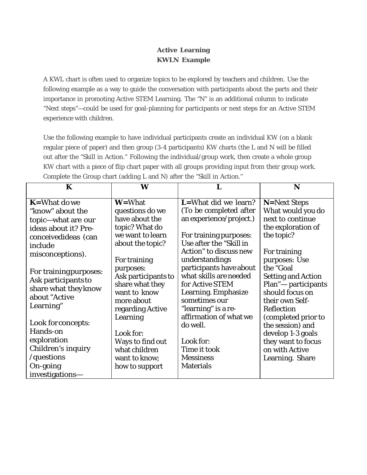## **Active Learning KWLN Example**

A KWL chart is often used to organize topics to be explored by teachers and children. Use the following example as a way to guide the conversation with participants about the parts and their importance in promoting Active STEM Learning. The "N" is an additional column to indicate "Next steps"—could be used for goal-planning for participants or next steps for an Active STEM experience with children.

Use the following example to have individual participants create an individual KW (on a blank regular piece of paper) and then group (3-4 participants) KW charts (the L and N will be filled out after the "Skill in Action." Following the individual/group work, then create a whole group KW chart with a piece of flip chart paper with all groups providing input from their group work. Complete the Group chart (adding L and N) after the "Skill in Action."

| K                                                                                                                                                                                                                                  | W                                                                                                                                                                                                    |                                                                                                                                                                                                                                                                                   | N                                                                                                                                                                                                                      |
|------------------------------------------------------------------------------------------------------------------------------------------------------------------------------------------------------------------------------------|------------------------------------------------------------------------------------------------------------------------------------------------------------------------------------------------------|-----------------------------------------------------------------------------------------------------------------------------------------------------------------------------------------------------------------------------------------------------------------------------------|------------------------------------------------------------------------------------------------------------------------------------------------------------------------------------------------------------------------|
| $K =$ What do we<br>"know" about the<br>topic-what are our<br>ideas about it? Pre-<br>conceivedideas (can<br>include<br>misconceptions).<br>For training purposes:<br>Ask participants to<br>share what they know<br>about "Active | <b>W</b> =What<br>questions do we<br>have about the<br>topic? What do<br>we want to learn<br>about the topic?<br>For training<br>purposes:<br>Ask participants to<br>share what they<br>want to know | <b>L</b> =What did we learn?<br>(To be completed after<br>an experience/project.)<br>For training purposes:<br>Use after the "Skill in<br>Action" to discuss new<br>understandings<br>participants have about<br>what skills are needed<br>for Active STEM<br>Learning. Emphasize | <b>N</b> =Next Steps<br>What would you do<br>next to continue<br>the exploration of<br>the topic?<br>For training<br>purposes: Use<br>the "Goal<br><b>Setting and Action</b><br>Plan"- participants<br>should focus on |
| Learning"<br>Look for concepts:                                                                                                                                                                                                    | more about<br>regarding Active<br>Learning                                                                                                                                                           | sometimes our<br>"learning" is a re-<br>affirmation of what we<br>do well.                                                                                                                                                                                                        | their own Self-<br>Reflection<br>(completed prior to<br>the session) and                                                                                                                                               |
| Hands-on                                                                                                                                                                                                                           | Look for:                                                                                                                                                                                            |                                                                                                                                                                                                                                                                                   | develop 1-3 goals                                                                                                                                                                                                      |
| exploration<br>Children's inquiry                                                                                                                                                                                                  | Ways to find out<br>what children                                                                                                                                                                    | Look for:<br>Time it took                                                                                                                                                                                                                                                         | they want to focus<br>on with Active                                                                                                                                                                                   |
| /questions                                                                                                                                                                                                                         | want to know;                                                                                                                                                                                        | <b>Messiness</b>                                                                                                                                                                                                                                                                  | Learning. Share                                                                                                                                                                                                        |
| On-going<br>investigations-                                                                                                                                                                                                        | how to support                                                                                                                                                                                       | <b>Materials</b>                                                                                                                                                                                                                                                                  |                                                                                                                                                                                                                        |